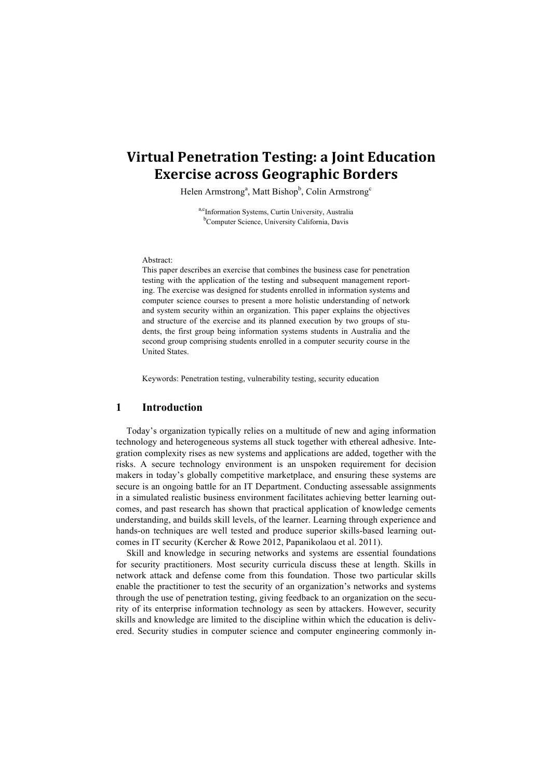# **Virtual Penetration Testing: a Joint Education Exercise across Geographic Borders**

Helen Armstrong<sup>a</sup>, Matt Bishop<sup>b</sup>, Colin Armstrong<sup>c</sup>

a,c<sub>Information</sub> Systems, Curtin University, Australia <sup>b</sup>Computer Science, University California, Davis

#### Abstract:

This paper describes an exercise that combines the business case for penetration testing with the application of the testing and subsequent management reporting. The exercise was designed for students enrolled in information systems and computer science courses to present a more holistic understanding of network and system security within an organization. This paper explains the objectives and structure of the exercise and its planned execution by two groups of students, the first group being information systems students in Australia and the second group comprising students enrolled in a computer security course in the United States.

Keywords: Penetration testing, vulnerability testing, security education

#### **1 Introduction**

Today's organization typically relies on a multitude of new and aging information technology and heterogeneous systems all stuck together with ethereal adhesive. Integration complexity rises as new systems and applications are added, together with the risks. A secure technology environment is an unspoken requirement for decision makers in today's globally competitive marketplace, and ensuring these systems are secure is an ongoing battle for an IT Department. Conducting assessable assignments in a simulated realistic business environment facilitates achieving better learning outcomes, and past research has shown that practical application of knowledge cements understanding, and builds skill levels, of the learner. Learning through experience and hands-on techniques are well tested and produce superior skills-based learning outcomes in IT security (Kercher & Rowe 2012, Papanikolaou et al. 2011).

Skill and knowledge in securing networks and systems are essential foundations for security practitioners. Most security curricula discuss these at length. Skills in network attack and defense come from this foundation. Those two particular skills enable the practitioner to test the security of an organization's networks and systems through the use of penetration testing, giving feedback to an organization on the security of its enterprise information technology as seen by attackers. However, security skills and knowledge are limited to the discipline within which the education is delivered. Security studies in computer science and computer engineering commonly in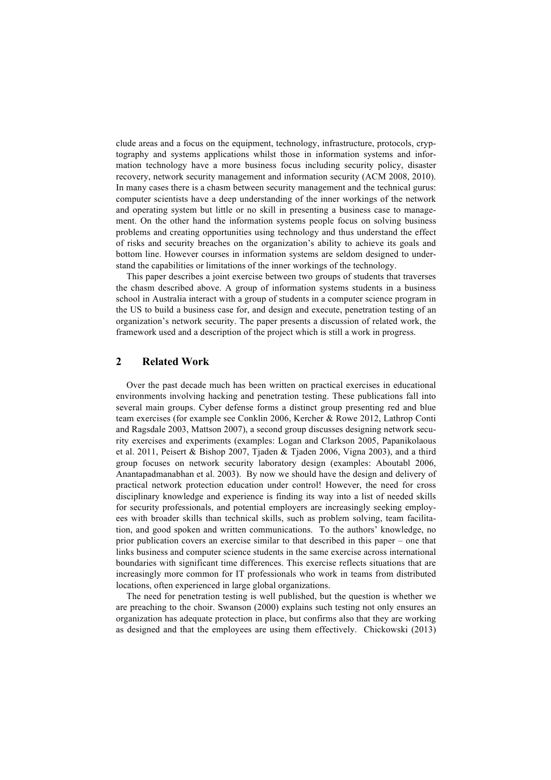clude areas and a focus on the equipment, technology, infrastructure, protocols, cryptography and systems applications whilst those in information systems and information technology have a more business focus including security policy, disaster recovery, network security management and information security (ACM 2008, 2010). In many cases there is a chasm between security management and the technical gurus: computer scientists have a deep understanding of the inner workings of the network and operating system but little or no skill in presenting a business case to management. On the other hand the information systems people focus on solving business problems and creating opportunities using technology and thus understand the effect of risks and security breaches on the organization's ability to achieve its goals and bottom line. However courses in information systems are seldom designed to understand the capabilities or limitations of the inner workings of the technology.

This paper describes a joint exercise between two groups of students that traverses the chasm described above. A group of information systems students in a business school in Australia interact with a group of students in a computer science program in the US to build a business case for, and design and execute, penetration testing of an organization's network security. The paper presents a discussion of related work, the framework used and a description of the project which is still a work in progress.

## **2 Related Work**

Over the past decade much has been written on practical exercises in educational environments involving hacking and penetration testing. These publications fall into several main groups. Cyber defense forms a distinct group presenting red and blue team exercises (for example see Conklin 2006, Kercher & Rowe 2012, Lathrop Conti and Ragsdale 2003, Mattson 2007), a second group discusses designing network security exercises and experiments (examples: Logan and Clarkson 2005, Papanikolaous et al. 2011, Peisert & Bishop 2007, Tjaden & Tjaden 2006, Vigna 2003), and a third group focuses on network security laboratory design (examples: Aboutabl 2006, Anantapadmanabhan et al. 2003). By now we should have the design and delivery of practical network protection education under control! However, the need for cross disciplinary knowledge and experience is finding its way into a list of needed skills for security professionals, and potential employers are increasingly seeking employees with broader skills than technical skills, such as problem solving, team facilitation, and good spoken and written communications. To the authors' knowledge, no prior publication covers an exercise similar to that described in this paper – one that links business and computer science students in the same exercise across international boundaries with significant time differences. This exercise reflects situations that are increasingly more common for IT professionals who work in teams from distributed locations, often experienced in large global organizations.

The need for penetration testing is well published, but the question is whether we are preaching to the choir. Swanson (2000) explains such testing not only ensures an organization has adequate protection in place, but confirms also that they are working as designed and that the employees are using them effectively. Chickowski (2013)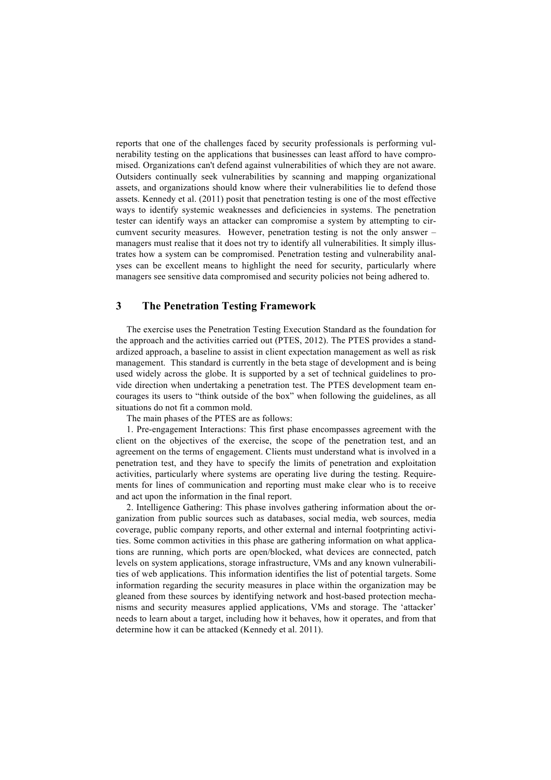reports that one of the challenges faced by security professionals is performing vulnerability testing on the applications that businesses can least afford to have compromised. Organizations can't defend against vulnerabilities of which they are not aware. Outsiders continually seek vulnerabilities by scanning and mapping organizational assets, and organizations should know where their vulnerabilities lie to defend those assets. Kennedy et al. (2011) posit that penetration testing is one of the most effective ways to identify systemic weaknesses and deficiencies in systems. The penetration tester can identify ways an attacker can compromise a system by attempting to circumvent security measures. However, penetration testing is not the only answer – managers must realise that it does not try to identify all vulnerabilities. It simply illustrates how a system can be compromised. Penetration testing and vulnerability analyses can be excellent means to highlight the need for security, particularly where managers see sensitive data compromised and security policies not being adhered to.

## **3 The Penetration Testing Framework**

The exercise uses the Penetration Testing Execution Standard as the foundation for the approach and the activities carried out (PTES, 2012). The PTES provides a standardized approach, a baseline to assist in client expectation management as well as risk management. This standard is currently in the beta stage of development and is being used widely across the globe. It is supported by a set of technical guidelines to provide direction when undertaking a penetration test. The PTES development team encourages its users to "think outside of the box" when following the guidelines, as all situations do not fit a common mold.

The main phases of the PTES are as follows:

1. Pre-engagement Interactions: This first phase encompasses agreement with the client on the objectives of the exercise, the scope of the penetration test, and an agreement on the terms of engagement. Clients must understand what is involved in a penetration test, and they have to specify the limits of penetration and exploitation activities, particularly where systems are operating live during the testing. Requirements for lines of communication and reporting must make clear who is to receive and act upon the information in the final report.

2. Intelligence Gathering: This phase involves gathering information about the organization from public sources such as databases, social media, web sources, media coverage, public company reports, and other external and internal footprinting activities. Some common activities in this phase are gathering information on what applications are running, which ports are open/blocked, what devices are connected, patch levels on system applications, storage infrastructure, VMs and any known vulnerabilities of web applications. This information identifies the list of potential targets. Some information regarding the security measures in place within the organization may be gleaned from these sources by identifying network and host-based protection mechanisms and security measures applied applications, VMs and storage. The 'attacker' needs to learn about a target, including how it behaves, how it operates, and from that determine how it can be attacked (Kennedy et al. 2011).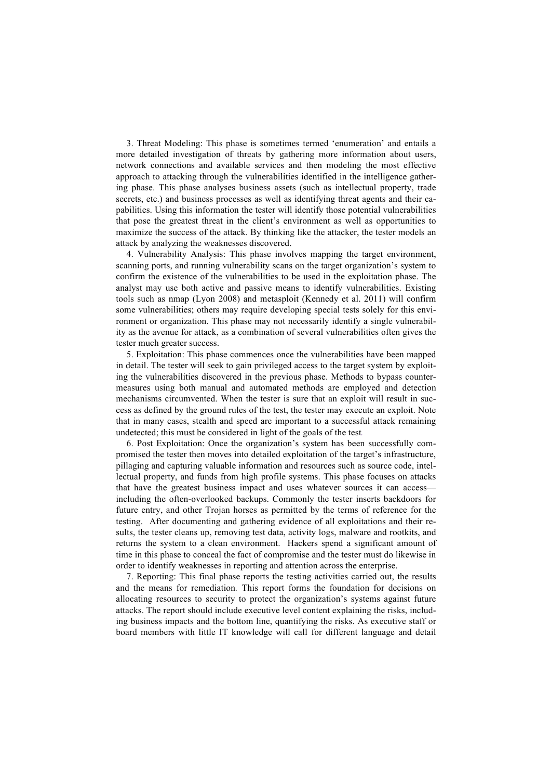3. Threat Modeling: This phase is sometimes termed 'enumeration' and entails a more detailed investigation of threats by gathering more information about users, network connections and available services and then modeling the most effective approach to attacking through the vulnerabilities identified in the intelligence gathering phase. This phase analyses business assets (such as intellectual property, trade secrets, etc.) and business processes as well as identifying threat agents and their capabilities. Using this information the tester will identify those potential vulnerabilities that pose the greatest threat in the client's environment as well as opportunities to maximize the success of the attack. By thinking like the attacker, the tester models an attack by analyzing the weaknesses discovered.

4. Vulnerability Analysis: This phase involves mapping the target environment, scanning ports, and running vulnerability scans on the target organization's system to confirm the existence of the vulnerabilities to be used in the exploitation phase. The analyst may use both active and passive means to identify vulnerabilities. Existing tools such as nmap (Lyon 2008) and metasploit (Kennedy et al. 2011) will confirm some vulnerabilities; others may require developing special tests solely for this environment or organization. This phase may not necessarily identify a single vulnerability as the avenue for attack, as a combination of several vulnerabilities often gives the tester much greater success.

5. Exploitation: This phase commences once the vulnerabilities have been mapped in detail. The tester will seek to gain privileged access to the target system by exploiting the vulnerabilities discovered in the previous phase. Methods to bypass countermeasures using both manual and automated methods are employed and detection mechanisms circumvented. When the tester is sure that an exploit will result in success as defined by the ground rules of the test, the tester may execute an exploit. Note that in many cases, stealth and speed are important to a successful attack remaining undetected; this must be considered in light of the goals of the test*.* 

6. Post Exploitation: Once the organization's system has been successfully compromised the tester then moves into detailed exploitation of the target's infrastructure, pillaging and capturing valuable information and resources such as source code, intellectual property, and funds from high profile systems. This phase focuses on attacks that have the greatest business impact and uses whatever sources it can access including the often-overlooked backups. Commonly the tester inserts backdoors for future entry, and other Trojan horses as permitted by the terms of reference for the testing. After documenting and gathering evidence of all exploitations and their results, the tester cleans up, removing test data, activity logs, malware and rootkits, and returns the system to a clean environment. Hackers spend a significant amount of time in this phase to conceal the fact of compromise and the tester must do likewise in order to identify weaknesses in reporting and attention across the enterprise.

7. Reporting: This final phase reports the testing activities carried out, the results and the means for remediation*.* This report forms the foundation for decisions on allocating resources to security to protect the organization's systems against future attacks. The report should include executive level content explaining the risks, including business impacts and the bottom line, quantifying the risks. As executive staff or board members with little IT knowledge will call for different language and detail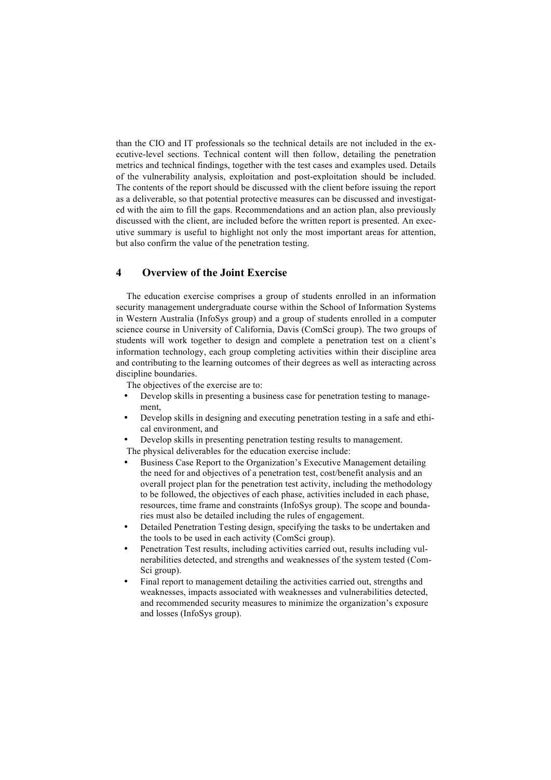than the CIO and IT professionals so the technical details are not included in the executive-level sections. Technical content will then follow, detailing the penetration metrics and technical findings, together with the test cases and examples used. Details of the vulnerability analysis, exploitation and post-exploitation should be included. The contents of the report should be discussed with the client before issuing the report as a deliverable, so that potential protective measures can be discussed and investigated with the aim to fill the gaps. Recommendations and an action plan, also previously discussed with the client, are included before the written report is presented. An executive summary is useful to highlight not only the most important areas for attention, but also confirm the value of the penetration testing.

## **4 Overview of the Joint Exercise**

The education exercise comprises a group of students enrolled in an information security management undergraduate course within the School of Information Systems in Western Australia (InfoSys group) and a group of students enrolled in a computer science course in University of California, Davis (ComSci group). The two groups of students will work together to design and complete a penetration test on a client's information technology, each group completing activities within their discipline area and contributing to the learning outcomes of their degrees as well as interacting across discipline boundaries.

The objectives of the exercise are to:

- Develop skills in presenting a business case for penetration testing to management,
- Develop skills in designing and executing penetration testing in a safe and ethical environment, and
- Develop skills in presenting penetration testing results to management.
- The physical deliverables for the education exercise include:
- Business Case Report to the Organization's Executive Management detailing the need for and objectives of a penetration test, cost/benefit analysis and an overall project plan for the penetration test activity, including the methodology to be followed, the objectives of each phase, activities included in each phase, resources, time frame and constraints (InfoSys group). The scope and boundaries must also be detailed including the rules of engagement.
- Detailed Penetration Testing design, specifying the tasks to be undertaken and the tools to be used in each activity (ComSci group).
- Penetration Test results, including activities carried out, results including vulnerabilities detected, and strengths and weaknesses of the system tested (Com-Sci group).
- Final report to management detailing the activities carried out, strengths and weaknesses, impacts associated with weaknesses and vulnerabilities detected, and recommended security measures to minimize the organization's exposure and losses (InfoSys group).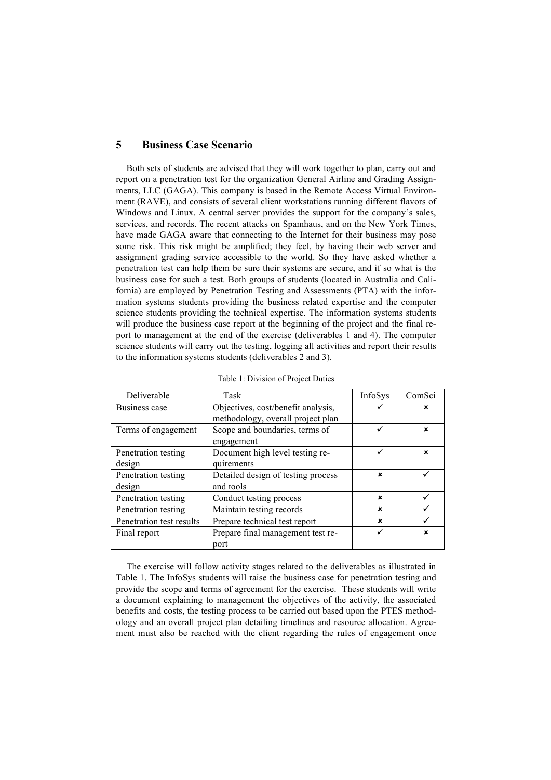## **5 Business Case Scenario**

Both sets of students are advised that they will work together to plan, carry out and report on a penetration test for the organization General Airline and Grading Assignments, LLC (GAGA). This company is based in the Remote Access Virtual Environment (RAVE), and consists of several client workstations running different flavors of Windows and Linux. A central server provides the support for the company's sales, services, and records. The recent attacks on Spamhaus, and on the New York Times, have made GAGA aware that connecting to the Internet for their business may pose some risk. This risk might be amplified; they feel, by having their web server and assignment grading service accessible to the world. So they have asked whether a penetration test can help them be sure their systems are secure, and if so what is the business case for such a test. Both groups of students (located in Australia and California) are employed by Penetration Testing and Assessments (PTA) with the information systems students providing the business related expertise and the computer science students providing the technical expertise. The information systems students will produce the business case report at the beginning of the project and the final report to management at the end of the exercise (deliverables 1 and 4). The computer science students will carry out the testing, logging all activities and report their results to the information systems students (deliverables 2 and 3).

| Deliverable              | Task                               | InfoSys     | ComSci                    |
|--------------------------|------------------------------------|-------------|---------------------------|
| Business case            | Objectives, cost/benefit analysis, |             | ×                         |
|                          | methodology, overall project plan  |             |                           |
| Terms of engagement      | Scope and boundaries, terms of     | ✓           | $\boldsymbol{\mathsf{x}}$ |
|                          | engagement                         |             |                           |
| Penetration testing      | Document high level testing re-    | ✓           | $\boldsymbol{\mathsf{x}}$ |
| design                   | quirements                         |             |                           |
| Penetration testing      | Detailed design of testing process | ×           |                           |
| design                   | and tools                          |             |                           |
| Penetration testing      | Conduct testing process            | $\mathbf x$ |                           |
| Penetration testing      | Maintain testing records           | ×           |                           |
| Penetration test results | Prepare technical test report      | $\mathbf x$ |                           |
| Final report             | Prepare final management test re-  | ✓           | $\mathbf x$               |
|                          | port                               |             |                           |

Table 1: Division of Project Duties

The exercise will follow activity stages related to the deliverables as illustrated in Table 1. The InfoSys students will raise the business case for penetration testing and provide the scope and terms of agreement for the exercise. These students will write a document explaining to management the objectives of the activity, the associated benefits and costs, the testing process to be carried out based upon the PTES methodology and an overall project plan detailing timelines and resource allocation. Agreement must also be reached with the client regarding the rules of engagement once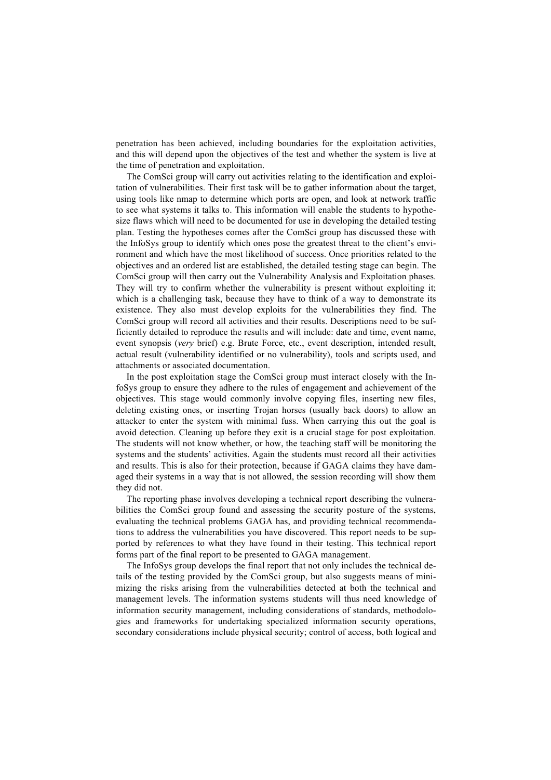penetration has been achieved, including boundaries for the exploitation activities, and this will depend upon the objectives of the test and whether the system is live at the time of penetration and exploitation.

The ComSci group will carry out activities relating to the identification and exploitation of vulnerabilities. Their first task will be to gather information about the target, using tools like nmap to determine which ports are open, and look at network traffic to see what systems it talks to. This information will enable the students to hypothesize flaws which will need to be documented for use in developing the detailed testing plan. Testing the hypotheses comes after the ComSci group has discussed these with the InfoSys group to identify which ones pose the greatest threat to the client's environment and which have the most likelihood of success. Once priorities related to the objectives and an ordered list are established, the detailed testing stage can begin. The ComSci group will then carry out the Vulnerability Analysis and Exploitation phases. They will try to confirm whether the vulnerability is present without exploiting it; which is a challenging task, because they have to think of a way to demonstrate its existence. They also must develop exploits for the vulnerabilities they find. The ComSci group will record all activities and their results. Descriptions need to be sufficiently detailed to reproduce the results and will include: date and time, event name, event synopsis (*very* brief) e.g. Brute Force, etc., event description, intended result, actual result (vulnerability identified or no vulnerability), tools and scripts used, and attachments or associated documentation.

In the post exploitation stage the ComSci group must interact closely with the InfoSys group to ensure they adhere to the rules of engagement and achievement of the objectives. This stage would commonly involve copying files, inserting new files, deleting existing ones, or inserting Trojan horses (usually back doors) to allow an attacker to enter the system with minimal fuss. When carrying this out the goal is avoid detection. Cleaning up before they exit is a crucial stage for post exploitation. The students will not know whether, or how, the teaching staff will be monitoring the systems and the students' activities. Again the students must record all their activities and results. This is also for their protection, because if GAGA claims they have damaged their systems in a way that is not allowed, the session recording will show them they did not.

The reporting phase involves developing a technical report describing the vulnerabilities the ComSci group found and assessing the security posture of the systems, evaluating the technical problems GAGA has, and providing technical recommendations to address the vulnerabilities you have discovered. This report needs to be supported by references to what they have found in their testing. This technical report forms part of the final report to be presented to GAGA management.

The InfoSys group develops the final report that not only includes the technical details of the testing provided by the ComSci group, but also suggests means of minimizing the risks arising from the vulnerabilities detected at both the technical and management levels. The information systems students will thus need knowledge of information security management, including considerations of standards, methodologies and frameworks for undertaking specialized information security operations, secondary considerations include physical security; control of access, both logical and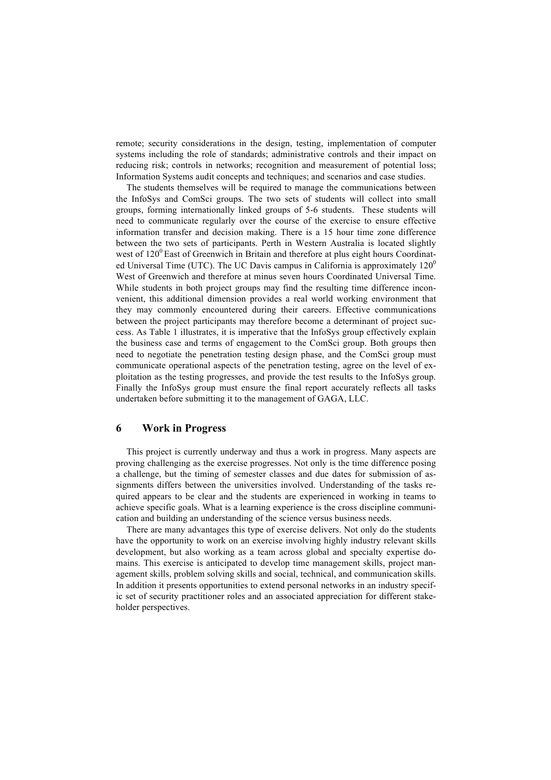remote; security considerations in the design, testing, implementation of computer systems including the role of standards; administrative controls and their impact on reducing risk; controls in networks; recognition and measurement of potential loss; Information Systems audit concepts and techniques; and scenarios and case studies.

The students themselves will be required to manage the communications between the InfoSys and ComSci groups. The two sets of students will collect into small groups, forming internationally linked groups of 5-6 students. These students will need to communicate regularly over the course of the exercise to ensure effective information transfer and decision making. There is a 15 hour time zone difference between the two sets of participants. Perth in Western Australia is located slightly west of  $120^{\circ}$  East of Greenwich in Britain and therefore at plus eight hours Coordinated Universal Time (UTC). The UC Davis campus in California is approximately  $120^{\circ}$ West of Greenwich and therefore at minus seven hours Coordinated Universal Time. While students in both project groups may find the resulting time difference inconvenient, this additional dimension provides a real world working environment that they may commonly encountered during their careers. Effective communications between the project participants may therefore become a determinant of project success. As Table 1 illustrates, it is imperative that the InfoSys group effectively explain the business case and terms of engagement to the ComSci group. Both groups then need to negotiate the penetration testing design phase, and the ComSci group must communicate operational aspects of the penetration testing, agree on the level of exploitation as the testing progresses, and provide the test results to the InfoSys group. Finally the InfoSys group must ensure the final report accurately reflects all tasks undertaken before submitting it to the management of GAGA, LLC.

#### **6 Work in Progress**

This project is currently underway and thus a work in progress. Many aspects are proving challenging as the exercise progresses. Not only is the time difference posing a challenge, but the timing of semester classes and due dates for submission of assignments differs between the universities involved. Understanding of the tasks required appears to be clear and the students are experienced in working in teams to achieve specific goals. What is a learning experience is the cross discipline communication and building an understanding of the science versus business needs.

There are many advantages this type of exercise delivers. Not only do the students have the opportunity to work on an exercise involving highly industry relevant skills development, but also working as a team across global and specialty expertise domains. This exercise is anticipated to develop time management skills, project management skills, problem solving skills and social, technical, and communication skills. In addition it presents opportunities to extend personal networks in an industry specific set of security practitioner roles and an associated appreciation for different stakeholder perspectives.